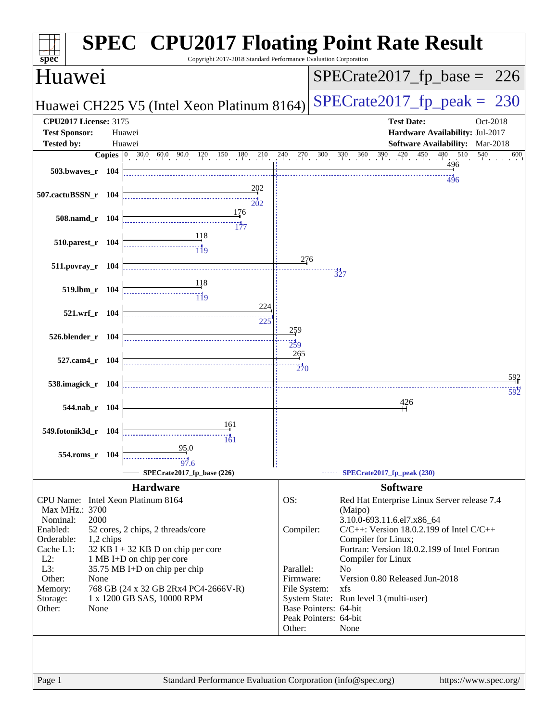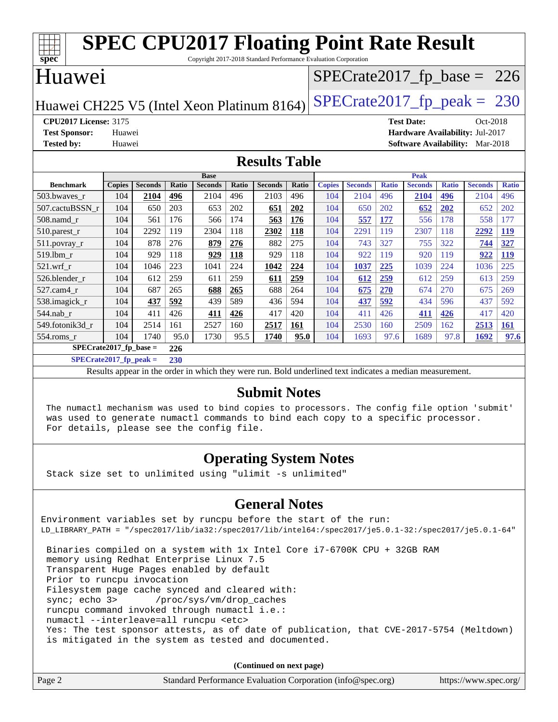| <b>SPEC CPU2017 Floating Point Rate Result</b>                              |                                                                 |                |       |                |              |                |       |               |                |              |                   |              |                                        |              |
|-----------------------------------------------------------------------------|-----------------------------------------------------------------|----------------|-------|----------------|--------------|----------------|-------|---------------|----------------|--------------|-------------------|--------------|----------------------------------------|--------------|
| spec <sup>®</sup>                                                           | Copyright 2017-2018 Standard Performance Evaluation Corporation |                |       |                |              |                |       |               |                |              |                   |              |                                        |              |
| Huawei                                                                      |                                                                 |                |       |                |              |                |       |               |                |              |                   |              | $SPECTate2017_fp\_base = 226$          |              |
| $SPECTate2017$ _fp_peak = 230<br>Huawei CH225 V5 (Intel Xeon Platinum 8164) |                                                                 |                |       |                |              |                |       |               |                |              |                   |              |                                        |              |
| <b>CPU2017 License: 3175</b>                                                |                                                                 |                |       |                |              |                |       |               |                |              | <b>Test Date:</b> |              | Oct-2018                               |              |
| <b>Test Sponsor:</b>                                                        | Huawei                                                          |                |       |                |              |                |       |               |                |              |                   |              | Hardware Availability: Jul-2017        |              |
| <b>Tested by:</b>                                                           | Huawei                                                          |                |       |                |              |                |       |               |                |              |                   |              | <b>Software Availability:</b> Mar-2018 |              |
| <b>Results Table</b>                                                        |                                                                 |                |       |                |              |                |       |               |                |              |                   |              |                                        |              |
|                                                                             |                                                                 |                |       | <b>Base</b>    |              |                |       |               |                |              | <b>Peak</b>       |              |                                        |              |
| <b>Benchmark</b>                                                            | <b>Copies</b>                                                   | <b>Seconds</b> | Ratio | <b>Seconds</b> | <b>Ratio</b> | <b>Seconds</b> | Ratio | <b>Copies</b> | <b>Seconds</b> | <b>Ratio</b> | <b>Seconds</b>    | <b>Ratio</b> | <b>Seconds</b>                         | <b>Ratio</b> |
| 503.bwaves r                                                                | 104                                                             | 2104           | 496   | 2104           | 496          | 2103           | 496   | 104           | 2104           | 496          | 2104              | 496          | 2104                                   | 496          |
| 507.cactuBSSN r                                                             | 104                                                             | 650            | 203   | 653            | 202          | 651            | 202   | 104           | 650            | 202          | 652               | 202          | 652                                    | 202          |
| 508.namd r                                                                  | 104                                                             | 561            | 176   | 566            | 174          | 563            | 176   | 104           | 557            | 177          | 556               | 178          | 558                                    | 177          |
| 510.parest_r                                                                | 104                                                             | 2292           | 119   | 2304           | 118          | 2302           | 118   | 104           | 2291           | 119          | 2307              | 118          | 2292                                   | <b>119</b>   |
| 511.povray_r                                                                | 104                                                             | 878            | 276   | 879            | 276          | 882            | 275   | 104           | 743            | 327          | 755               | 322          | 744                                    | 327          |
| 519.lbm r                                                                   | 104                                                             | 929            | 118   | 929            | 118          | 929            | 118   | 104           | 922            | 119          | 920               | 119          | 922                                    | <b>119</b>   |
| 521.wrf r                                                                   | 104                                                             | 1046           | 223   | 1041           | 224          | 1042           | 224   | 104           | 1037           | 225          | 1039              | 224          | 1036                                   | 225          |
| 526.blender r                                                               | 104                                                             | 612            | 259   | 611            | 259          | 611            | 259   | 104           | 612            | 259          | 612               | 259          | 613                                    | 259          |
| 527.cam4 r                                                                  | 104                                                             | 687            | 265   | 688            | 265          | 688            | 264   | 104           | 675            | 270          | 674               | 270          | 675                                    | 269          |
| 538.imagick_r                                                               | 104                                                             | 437            | 592   | 439            | 589          | 436            | 594   | 104           | 437            | 592          | 434               | 596          | 437                                    | 592          |
| 544.nab_r                                                                   | 104                                                             | 411            | 426   | 411            | 426          | 417            | 420   | 104           | 411            | 426          | 411               | 426          | 417                                    | 420          |
| 549.fotonik3d r                                                             | 104                                                             | 2514           | 161   | 2527           | 160          | 2517           | 161   | 104           | 2530           | 160          | 2509              | 162          | 2513                                   | <b>161</b>   |
| $554$ .roms r                                                               | 104                                                             | 1740           | 95.0  | 1730           | 95.5         | 1740           | 95.0  | 104           | 1693           | 97.6         | 1689              | 97.8         | 1692                                   | 97.6         |
|                                                                             | $SPECrate2017$ fp base =<br>226                                 |                |       |                |              |                |       |               |                |              |                   |              |                                        |              |

**[SPECrate2017\\_fp\\_peak =](http://www.spec.org/auto/cpu2017/Docs/result-fields.html#SPECrate2017fppeak) 230**

Results appear in the [order in which they were run.](http://www.spec.org/auto/cpu2017/Docs/result-fields.html#RunOrder) Bold underlined text [indicates a median measurement.](http://www.spec.org/auto/cpu2017/Docs/result-fields.html#Median)

#### **[Submit Notes](http://www.spec.org/auto/cpu2017/Docs/result-fields.html#SubmitNotes)**

 The numactl mechanism was used to bind copies to processors. The config file option 'submit' was used to generate numactl commands to bind each copy to a specific processor. For details, please see the config file.

#### **[Operating System Notes](http://www.spec.org/auto/cpu2017/Docs/result-fields.html#OperatingSystemNotes)**

Stack size set to unlimited using "ulimit -s unlimited"

#### **[General Notes](http://www.spec.org/auto/cpu2017/Docs/result-fields.html#GeneralNotes)**

Environment variables set by runcpu before the start of the run: LD\_LIBRARY\_PATH = "/spec2017/lib/ia32:/spec2017/lib/intel64:/spec2017/je5.0.1-32:/spec2017/je5.0.1-64" Binaries compiled on a system with 1x Intel Core i7-6700K CPU + 32GB RAM memory using Redhat Enterprise Linux 7.5 Transparent Huge Pages enabled by default Prior to runcpu invocation Filesystem page cache synced and cleared with: sync; echo 3> /proc/sys/vm/drop\_caches

runcpu command invoked through numactl i.e.:

numactl --interleave=all runcpu <etc>

 Yes: The test sponsor attests, as of date of publication, that CVE-2017-5754 (Meltdown) is mitigated in the system as tested and documented.

**(Continued on next page)**

| Page 2 | Standard Performance Evaluation Corporation (info@spec.org) | https://www.spec.org/ |
|--------|-------------------------------------------------------------|-----------------------|
|        |                                                             |                       |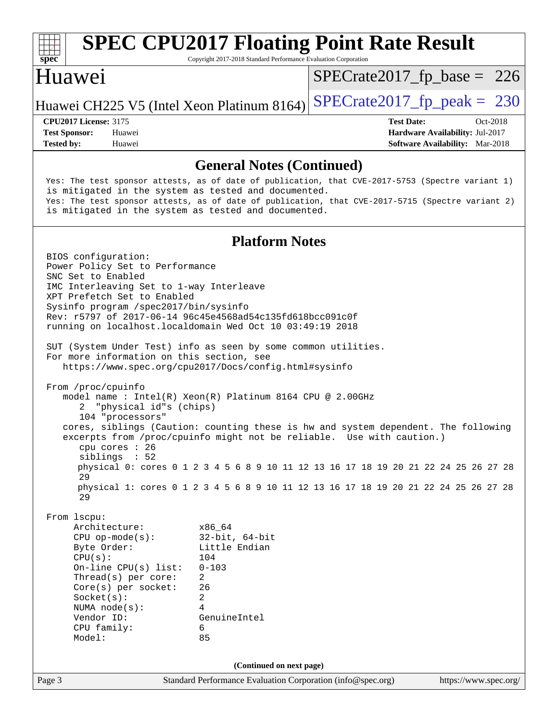| $spec^*$                                                                                         |                                                                                                                                                     | <b>SPEC CPU2017 Floating Point Rate Result</b><br>Copyright 2017-2018 Standard Performance Evaluation Corporation                                                                                                                                                                                                                                                                                          |                               |                                                                                                |                       |  |
|--------------------------------------------------------------------------------------------------|-----------------------------------------------------------------------------------------------------------------------------------------------------|------------------------------------------------------------------------------------------------------------------------------------------------------------------------------------------------------------------------------------------------------------------------------------------------------------------------------------------------------------------------------------------------------------|-------------------------------|------------------------------------------------------------------------------------------------|-----------------------|--|
| Huawei                                                                                           |                                                                                                                                                     |                                                                                                                                                                                                                                                                                                                                                                                                            | $SPECrate2017_fp\_base = 226$ |                                                                                                |                       |  |
|                                                                                                  |                                                                                                                                                     | Huawei CH225 V5 (Intel Xeon Platinum 8164)                                                                                                                                                                                                                                                                                                                                                                 | $SPECTate2017$ fp peak = 230  |                                                                                                |                       |  |
| <b>CPU2017 License: 3175</b><br><b>Test Sponsor:</b><br><b>Tested by:</b>                        | Huawei<br>Huawei                                                                                                                                    |                                                                                                                                                                                                                                                                                                                                                                                                            |                               | <b>Test Date:</b><br>Hardware Availability: Jul-2017<br><b>Software Availability:</b> Mar-2018 | Oct-2018              |  |
|                                                                                                  |                                                                                                                                                     | <b>General Notes (Continued)</b>                                                                                                                                                                                                                                                                                                                                                                           |                               |                                                                                                |                       |  |
|                                                                                                  |                                                                                                                                                     | Yes: The test sponsor attests, as of date of publication, that CVE-2017-5753 (Spectre variant 1)<br>is mitigated in the system as tested and documented.<br>Yes: The test sponsor attests, as of date of publication, that CVE-2017-5715 (Spectre variant 2)<br>is mitigated in the system as tested and documented.                                                                                       |                               |                                                                                                |                       |  |
|                                                                                                  |                                                                                                                                                     | <b>Platform Notes</b>                                                                                                                                                                                                                                                                                                                                                                                      |                               |                                                                                                |                       |  |
| BIOS configuration:<br>SNC Set to Enabled                                                        | Power Policy Set to Performance<br>IMC Interleaving Set to 1-way Interleave<br>XPT Prefetch Set to Enabled<br>Sysinfo program /spec2017/bin/sysinfo | Rev: r5797 of 2017-06-14 96c45e4568ad54c135fd618bcc091c0f<br>running on localhost.localdomain Wed Oct 10 03:49:19 2018                                                                                                                                                                                                                                                                                     |                               |                                                                                                |                       |  |
|                                                                                                  | For more information on this section, see                                                                                                           | SUT (System Under Test) info as seen by some common utilities.<br>https://www.spec.org/cpu2017/Docs/config.html#sysinfo                                                                                                                                                                                                                                                                                    |                               |                                                                                                |                       |  |
| From /proc/cpuinfo<br>2<br>29                                                                    | "physical id"s (chips)<br>104 "processors"<br>cpu cores $: 26$<br>siblings : 52                                                                     | model name: $Intel(R)$ Xeon $(R)$ Platinum 8164 CPU @ 2.00GHz<br>cores, siblings (Caution: counting these is hw and system dependent. The following<br>excerpts from /proc/cpuinfo might not be reliable. Use with caution.)<br>physical 0: cores 0 1 2 3 4 5 6 8 9 10 11 12 13 16 17 18 19 20 21 22 24 25 26 27 28<br>physical 1: cores 0 1 2 3 4 5 6 8 9 10 11 12 13 16 17 18 19 20 21 22 24 25 26 27 28 |                               |                                                                                                |                       |  |
| 29<br>From 1scpu:<br>Byte Order:<br>CPU(s):<br>Socket(s):<br>Vendor ID:<br>CPU family:<br>Model: | Architecture:<br>$CPU$ op-mode( $s$ ):<br>On-line $CPU(s)$ list:<br>Thread(s) per core:<br>Core(s) per socket:<br>NUMA node(s):                     | x86_64<br>$32$ -bit, $64$ -bit<br>Little Endian<br>104<br>$0 - 103$<br>2<br>26<br>$\overline{a}$<br>4<br>GenuineIntel<br>6<br>85                                                                                                                                                                                                                                                                           |                               |                                                                                                |                       |  |
|                                                                                                  |                                                                                                                                                     | (Continued on next page)                                                                                                                                                                                                                                                                                                                                                                                   |                               |                                                                                                |                       |  |
| Page 3                                                                                           |                                                                                                                                                     | Standard Performance Evaluation Corporation (info@spec.org)                                                                                                                                                                                                                                                                                                                                                |                               |                                                                                                | https://www.spec.org/ |  |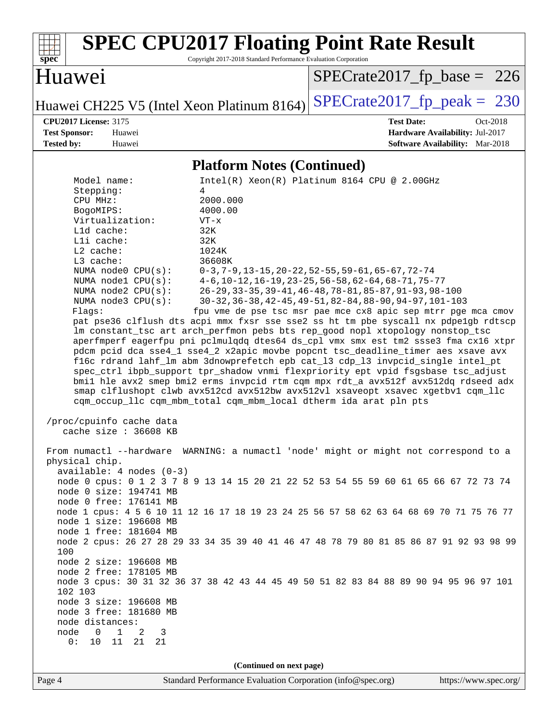

# **[SPEC CPU2017 Floating Point Rate Result](http://www.spec.org/auto/cpu2017/Docs/result-fields.html#SPECCPU2017FloatingPointRateResult)**

Copyright 2017-2018 Standard Performance Evaluation Corporation

### Huawei

[SPECrate2017\\_fp\\_base =](http://www.spec.org/auto/cpu2017/Docs/result-fields.html#SPECrate2017fpbase) 226

Huawei CH225 V5 (Intel Xeon Platinum 8164) [SPECrate2017\\_fp\\_peak =](http://www.spec.org/auto/cpu2017/Docs/result-fields.html#SPECrate2017fppeak)  $230$ 

**[Tested by:](http://www.spec.org/auto/cpu2017/Docs/result-fields.html#Testedby)** Huawei **[Software Availability:](http://www.spec.org/auto/cpu2017/Docs/result-fields.html#SoftwareAvailability)** Mar-2018

**[CPU2017 License:](http://www.spec.org/auto/cpu2017/Docs/result-fields.html#CPU2017License)** 3175 **[Test Date:](http://www.spec.org/auto/cpu2017/Docs/result-fields.html#TestDate)** Oct-2018 **[Test Sponsor:](http://www.spec.org/auto/cpu2017/Docs/result-fields.html#TestSponsor)** Huawei **[Hardware Availability:](http://www.spec.org/auto/cpu2017/Docs/result-fields.html#HardwareAvailability)** Jul-2017

#### **[Platform Notes \(Continued\)](http://www.spec.org/auto/cpu2017/Docs/result-fields.html#PlatformNotes)**

|                                                   | 1 iailyi III 1 vyits (Comunata)                                                                                                                                         |
|---------------------------------------------------|-------------------------------------------------------------------------------------------------------------------------------------------------------------------------|
| Model name:                                       | $Intel(R)$ Xeon $(R)$ Platinum 8164 CPU @ 2.00GHz                                                                                                                       |
| Stepping:                                         | 4                                                                                                                                                                       |
| CPU MHz:                                          | 2000.000                                                                                                                                                                |
| BogoMIPS:                                         | 4000.00                                                                                                                                                                 |
| Virtualization:                                   | $VT - x$                                                                                                                                                                |
| Lld cache:                                        | 32K                                                                                                                                                                     |
| Lli cache:                                        | 32K                                                                                                                                                                     |
| $L2$ cache:                                       | 1024K                                                                                                                                                                   |
| $L3$ cache:                                       | 36608K                                                                                                                                                                  |
| NUMA node0 CPU(s):                                | $0-3, 7-9, 13-15, 20-22, 52-55, 59-61, 65-67, 72-74$                                                                                                                    |
| NUMA nodel CPU(s):                                | $4-6$ , 10-12, 16-19, 23-25, 56-58, 62-64, 68-71, 75-77                                                                                                                 |
| NUMA node2 CPU(s):                                | 26-29, 33-35, 39-41, 46-48, 78-81, 85-87, 91-93, 98-100                                                                                                                 |
| NUMA node3 CPU(s):                                | 30-32, 36-38, 42-45, 49-51, 82-84, 88-90, 94-97, 101-103                                                                                                                |
| Flags:                                            | fpu vme de pse tsc msr pae mce cx8 apic sep mtrr pge mca cmov                                                                                                           |
|                                                   | pat pse36 clflush dts acpi mmx fxsr sse sse2 ss ht tm pbe syscall nx pdpelgb rdtscp                                                                                     |
|                                                   | lm constant_tsc art arch_perfmon pebs bts rep_good nopl xtopology nonstop_tsc                                                                                           |
|                                                   | aperfmperf eagerfpu pni pclmulqdq dtes64 ds_cpl vmx smx est tm2 ssse3 fma cx16 xtpr<br>pdcm pcid dca sse4_1 sse4_2 x2apic movbe popcnt tsc_deadline_timer aes xsave avx |
|                                                   | f16c rdrand lahf_lm abm 3dnowprefetch epb cat_13 cdp_13 invpcid_single intel_pt                                                                                         |
|                                                   | spec_ctrl ibpb_support tpr_shadow vnmi flexpriority ept vpid fsgsbase tsc_adjust                                                                                        |
|                                                   | bmil hle avx2 smep bmi2 erms invpcid rtm cqm mpx rdt_a avx512f avx512dq rdseed adx                                                                                      |
|                                                   | smap clflushopt clwb avx512cd avx512bw avx512vl xsaveopt xsavec xgetbvl cqm_llc                                                                                         |
|                                                   | cqm_occup_llc cqm_mbm_total cqm_mbm_local dtherm ida arat pln pts                                                                                                       |
|                                                   |                                                                                                                                                                         |
| /proc/cpuinfo cache data<br>cache size : 36608 KB |                                                                                                                                                                         |
|                                                   |                                                                                                                                                                         |
|                                                   | From numactl --hardware WARNING: a numactl 'node' might or might not correspond to a                                                                                    |
| physical chip.                                    |                                                                                                                                                                         |
| $available: 4 nodes (0-3)$                        | node 0 cpus: 0 1 2 3 7 8 9 13 14 15 20 21 22 52 53 54 55 59 60 61 65 66 67 72 73 74                                                                                     |
| node 0 size: 194741 MB                            |                                                                                                                                                                         |
| node 0 free: 176141 MB                            |                                                                                                                                                                         |
|                                                   | node 1 cpus: 4 5 6 10 11 12 16 17 18 19 23 24 25 56 57 58 62 63 64 68 69 70 71 75 76 77                                                                                 |
| node 1 size: 196608 MB                            |                                                                                                                                                                         |
| node 1 free: 181604 MB                            |                                                                                                                                                                         |
|                                                   | node 2 cpus: 26 27 28 29 33 34 35 39 40 41 46 47 48 78 79 80 81 85 86 87 91 92 93 98 99                                                                                 |
| 100                                               |                                                                                                                                                                         |
| node 2 size: 196608 MB                            |                                                                                                                                                                         |
| node 2 free: 178105 MB                            |                                                                                                                                                                         |
|                                                   | node 3 cpus: 30 31 32 36 37 38 42 43 44 45 49 50 51 82 83 84 88 89 90 94 95 96 97 101                                                                                   |
| 102 103                                           |                                                                                                                                                                         |
| node 3 size: 196608 MB                            |                                                                                                                                                                         |
| node 3 free: 181680 MB                            |                                                                                                                                                                         |
| node distances:                                   |                                                                                                                                                                         |
| node<br>$\mathsf{O}$<br>$\mathbf{1}$<br>2<br>3    |                                                                                                                                                                         |
| 11<br>0:<br>10<br>21<br>21                        |                                                                                                                                                                         |
|                                                   |                                                                                                                                                                         |
|                                                   | (Continued on next page)                                                                                                                                                |
|                                                   |                                                                                                                                                                         |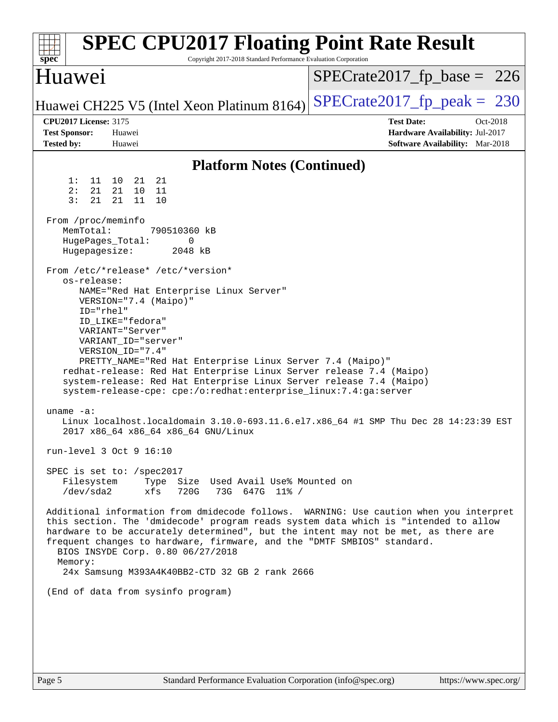| <b>SPEC CPU2017 Floating Point Rate Result</b><br>Copyright 2017-2018 Standard Performance Evaluation Corporation<br>$spec^*$                                                                                                                                                                                                                                                                                                                                                                                                                                                                                                                                                                                                                                                                                                                                                                                                                                                                                                                                                                                                                                                                                                                                                                       |                                                                                                            |
|-----------------------------------------------------------------------------------------------------------------------------------------------------------------------------------------------------------------------------------------------------------------------------------------------------------------------------------------------------------------------------------------------------------------------------------------------------------------------------------------------------------------------------------------------------------------------------------------------------------------------------------------------------------------------------------------------------------------------------------------------------------------------------------------------------------------------------------------------------------------------------------------------------------------------------------------------------------------------------------------------------------------------------------------------------------------------------------------------------------------------------------------------------------------------------------------------------------------------------------------------------------------------------------------------------|------------------------------------------------------------------------------------------------------------|
| Huawei                                                                                                                                                                                                                                                                                                                                                                                                                                                                                                                                                                                                                                                                                                                                                                                                                                                                                                                                                                                                                                                                                                                                                                                                                                                                                              | $SPECrate2017_fp\_base = 226$                                                                              |
| Huawei CH225 V5 (Intel Xeon Platinum 8164)                                                                                                                                                                                                                                                                                                                                                                                                                                                                                                                                                                                                                                                                                                                                                                                                                                                                                                                                                                                                                                                                                                                                                                                                                                                          | $SPECTate2017$ _fp_peak = 230                                                                              |
| <b>CPU2017 License: 3175</b><br><b>Test Sponsor:</b><br>Huawei<br><b>Tested by:</b><br>Huawei                                                                                                                                                                                                                                                                                                                                                                                                                                                                                                                                                                                                                                                                                                                                                                                                                                                                                                                                                                                                                                                                                                                                                                                                       | <b>Test Date:</b><br>Oct-2018<br>Hardware Availability: Jul-2017<br><b>Software Availability:</b> Mar-2018 |
| <b>Platform Notes (Continued)</b>                                                                                                                                                                                                                                                                                                                                                                                                                                                                                                                                                                                                                                                                                                                                                                                                                                                                                                                                                                                                                                                                                                                                                                                                                                                                   |                                                                                                            |
| 1:<br>21<br>21<br>11<br>10<br>2:<br>21<br>21 10<br>- 11<br>3:<br>21<br>21<br>11<br>10<br>From /proc/meminfo<br>MemTotal:<br>790510360 kB<br>$\mathbf 0$<br>HugePages_Total:<br>Hugepagesize:<br>2048 kB<br>From /etc/*release* /etc/*version*<br>os-release:<br>NAME="Red Hat Enterprise Linux Server"<br>VERSION="7.4 (Maipo)"<br>$ID="rhe1"$<br>ID LIKE="fedora"<br>VARIANT="Server"<br>VARIANT_ID="server"<br>VERSION_ID="7.4"<br>PRETTY_NAME="Red Hat Enterprise Linux Server 7.4 (Maipo)"<br>redhat-release: Red Hat Enterprise Linux Server release 7.4 (Maipo)<br>system-release: Red Hat Enterprise Linux Server release 7.4 (Maipo)<br>system-release-cpe: cpe:/o:redhat:enterprise_linux:7.4:ga:server<br>$uname -a$ :<br>Linux localhost.localdomain 3.10.0-693.11.6.el7.x86_64 #1 SMP Thu Dec 28 14:23:39 EST<br>2017 x86_64 x86_64 x86_64 GNU/Linux<br>run-level 3 Oct 9 16:10<br>SPEC is set to: /spec2017<br>Type Size Used Avail Use% Mounted on<br>Filesystem<br>/dev/sda2<br>720G<br>73G 647G 11% /<br>xfs<br>Additional information from dmidecode follows. WARNING: Use caution when you interpret<br>this section. The 'dmidecode' program reads system data which is "intended to allow<br>hardware to be accurately determined", but the intent may not be met, as there are |                                                                                                            |
| frequent changes to hardware, firmware, and the "DMTF SMBIOS" standard.<br>BIOS INSYDE Corp. 0.80 06/27/2018<br>Memory:<br>24x Samsung M393A4K40BB2-CTD 32 GB 2 rank 2666                                                                                                                                                                                                                                                                                                                                                                                                                                                                                                                                                                                                                                                                                                                                                                                                                                                                                                                                                                                                                                                                                                                           |                                                                                                            |
| (End of data from sysinfo program)                                                                                                                                                                                                                                                                                                                                                                                                                                                                                                                                                                                                                                                                                                                                                                                                                                                                                                                                                                                                                                                                                                                                                                                                                                                                  |                                                                                                            |
|                                                                                                                                                                                                                                                                                                                                                                                                                                                                                                                                                                                                                                                                                                                                                                                                                                                                                                                                                                                                                                                                                                                                                                                                                                                                                                     |                                                                                                            |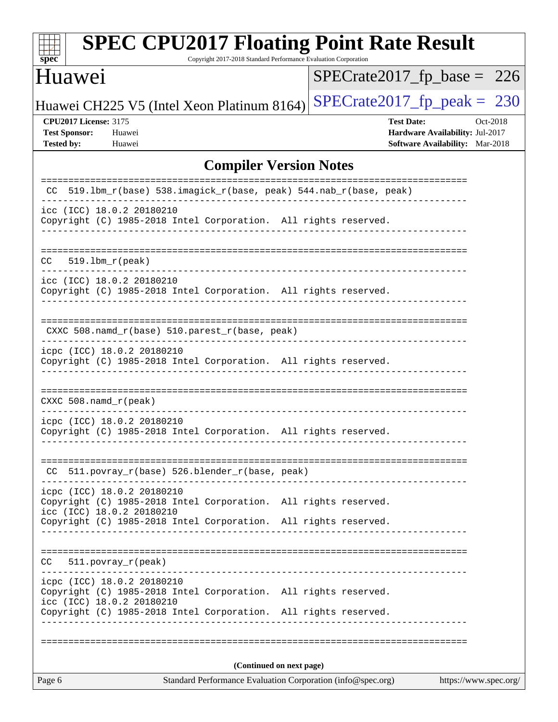| spec                         |                                                         | <b>SPEC CPU2017 Floating Point Rate Result</b><br>Copyright 2017-2018 Standard Performance Evaluation Corporation                  |                          |                               |                   |                                        |          |
|------------------------------|---------------------------------------------------------|------------------------------------------------------------------------------------------------------------------------------------|--------------------------|-------------------------------|-------------------|----------------------------------------|----------|
| Huawei                       |                                                         |                                                                                                                                    |                          | $SPECrate2017_fp\_base = 226$ |                   |                                        |          |
|                              |                                                         | Huawei CH225 V5 (Intel Xeon Platinum 8164)                                                                                         |                          | $SPECrate2017_fp\_peak = 230$ |                   |                                        |          |
| <b>CPU2017 License: 3175</b> |                                                         |                                                                                                                                    |                          |                               | <b>Test Date:</b> |                                        | Oct-2018 |
| <b>Test Sponsor:</b>         | Huawei                                                  |                                                                                                                                    |                          |                               |                   | Hardware Availability: Jul-2017        |          |
| <b>Tested by:</b>            | Huawei                                                  |                                                                                                                                    |                          |                               |                   | <b>Software Availability:</b> Mar-2018 |          |
|                              |                                                         | <b>Compiler Version Notes</b>                                                                                                      |                          |                               |                   |                                        |          |
| CC.                          |                                                         | 519.1bm_r(base) 538.imagick_r(base, peak) 544.nab_r(base, peak)                                                                    |                          |                               |                   |                                        |          |
|                              | icc (ICC) 18.0.2 20180210                               | Copyright (C) 1985-2018 Intel Corporation. All rights reserved.                                                                    |                          |                               |                   |                                        |          |
| CC.                          | $519.1bm_r(peak)$                                       |                                                                                                                                    |                          |                               |                   |                                        |          |
|                              | icc (ICC) 18.0.2 20180210                               | Copyright (C) 1985-2018 Intel Corporation. All rights reserved.                                                                    |                          |                               |                   |                                        |          |
|                              |                                                         | CXXC 508.namd_r(base) 510.parest_r(base, peak)                                                                                     |                          |                               |                   |                                        |          |
|                              | icpc (ICC) 18.0.2 20180210                              | Copyright (C) 1985-2018 Intel Corporation. All rights reserved.                                                                    |                          |                               |                   |                                        |          |
| CXXC $508$ . namd $r$ (peak) |                                                         |                                                                                                                                    |                          |                               |                   |                                        |          |
|                              | icpc (ICC) 18.0.2 20180210                              | Copyright (C) 1985-2018 Intel Corporation. All rights reserved.                                                                    |                          |                               |                   |                                        |          |
|                              |                                                         | CC 511.povray_r(base) 526.blender_r(base, peak)                                                                                    |                          |                               |                   |                                        |          |
|                              | icpc (ICC) 18.0.2 20180210<br>icc (ICC) 18.0.2 20180210 | Copyright (C) 1985-2018 Intel Corporation. All rights reserved.<br>Copyright (C) 1985-2018 Intel Corporation. All rights reserved. |                          |                               |                   |                                        |          |
| CC.                          | $511. povray_r (peak)$                                  | ______________________                                                                                                             |                          |                               |                   |                                        |          |
|                              | icpc (ICC) 18.0.2 20180210<br>icc (ICC) 18.0.2 20180210 | Copyright (C) 1985-2018 Intel Corporation. All rights reserved.                                                                    |                          |                               |                   |                                        |          |
|                              |                                                         | Copyright (C) 1985-2018 Intel Corporation. All rights reserved.                                                                    |                          |                               |                   |                                        |          |
|                              |                                                         |                                                                                                                                    |                          |                               |                   |                                        |          |
|                              |                                                         |                                                                                                                                    | (Continued on next page) |                               |                   |                                        |          |
| Page 6                       |                                                         | Standard Performance Evaluation Corporation (info@spec.org)                                                                        |                          |                               |                   | https://www.spec.org/                  |          |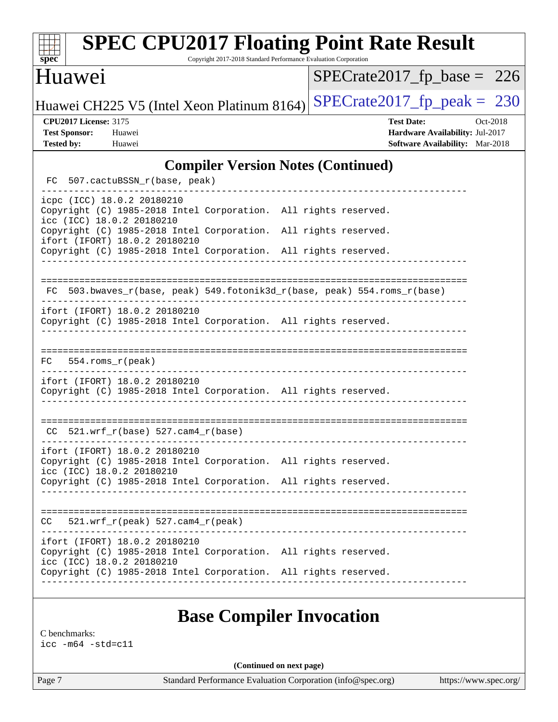| <b>SPEC CPU2017 Floating Point Rate Result</b><br>Copyright 2017-2018 Standard Performance Evaluation Corporation<br>spec <sup>®</sup> |                                                                                                     |
|----------------------------------------------------------------------------------------------------------------------------------------|-----------------------------------------------------------------------------------------------------|
| <b>Huawei</b>                                                                                                                          | $SPECTate2017_fp\_base = 226$                                                                       |
| Huawei CH225 V5 (Intel Xeon Platinum 8164)                                                                                             | $SPECrate2017_fp\_peak = 230$                                                                       |
| <b>CPU2017 License: 3175</b><br><b>Test Sponsor:</b><br>Huawei<br><b>Tested by:</b><br>Huawei                                          | <b>Test Date:</b><br>Oct-2018<br>Hardware Availability: Jul-2017<br>Software Availability: Mar-2018 |
| <b>Compiler Version Notes (Continued)</b>                                                                                              |                                                                                                     |
| FC<br>507.cactuBSSN_r(base, peak)                                                                                                      |                                                                                                     |
| icpc (ICC) 18.0.2 20180210<br>Copyright (C) 1985-2018 Intel Corporation. All rights reserved.<br>icc (ICC) 18.0.2 20180210             |                                                                                                     |
| Copyright (C) 1985-2018 Intel Corporation. All rights reserved.<br>ifort (IFORT) 18.0.2 20180210                                       |                                                                                                     |
| Copyright (C) 1985-2018 Intel Corporation. All rights reserved.                                                                        |                                                                                                     |
| 503.bwaves_r(base, peak) 549.fotonik3d_r(base, peak) 554.roms_r(base)<br>FC                                                            |                                                                                                     |
| ifort (IFORT) 18.0.2 20180210<br>Copyright (C) 1985-2018 Intel Corporation. All rights reserved.                                       |                                                                                                     |
| $554.rows_r (peak)$<br>FC.                                                                                                             |                                                                                                     |
| ifort (IFORT) 18.0.2 20180210<br>Copyright (C) 1985-2018 Intel Corporation. All rights reserved.                                       |                                                                                                     |
| $521.wrf_r(base) 527.cam4_r(base)$<br>CC                                                                                               |                                                                                                     |
| ifort (IFORT) 18.0.2 20180210<br>Copyright (C) 1985-2018 Intel Corporation. All rights reserved.<br>icc (ICC) 18.0.2 20180210          |                                                                                                     |
| Copyright (C) 1985-2018 Intel Corporation. All rights reserved.                                                                        |                                                                                                     |
| $CC = 521.wrf_r(peak) 527.cam4_r(peak)$                                                                                                |                                                                                                     |
| ifort (IFORT) 18.0.2 20180210<br>Copyright (C) 1985-2018 Intel Corporation. All rights reserved.                                       |                                                                                                     |
| icc (ICC) 18.0.2 20180210<br>Copyright (C) 1985-2018 Intel Corporation. All rights reserved.                                           |                                                                                                     |
| <b>Base Compiler Invocation</b><br>C benchmarks:                                                                                       |                                                                                                     |
| $\texttt{icc -m64 -std=cl1}$                                                                                                           |                                                                                                     |

**(Continued on next page)**

Page 7 Standard Performance Evaluation Corporation [\(info@spec.org\)](mailto:info@spec.org) <https://www.spec.org/>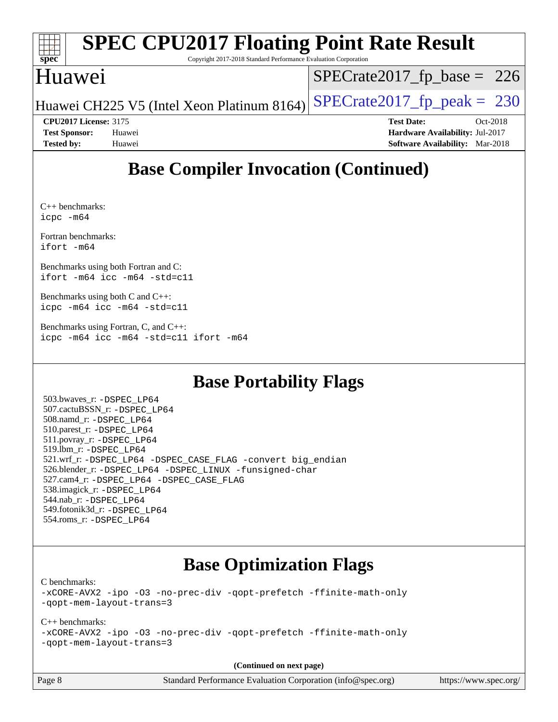|                      |                              | <b>SPEC CPU2017 Floating Point Rate Result</b>                          |                               |                   |                                        |            |
|----------------------|------------------------------|-------------------------------------------------------------------------|-------------------------------|-------------------|----------------------------------------|------------|
| $spec*$              |                              | Copyright 2017-2018 Standard Performance Evaluation Corporation         |                               |                   |                                        |            |
| Huawei               |                              |                                                                         | $SPECrate2017_fp\_base = 226$ |                   |                                        |            |
|                      |                              | Huawei CH225 V5 (Intel Xeon Platinum 8164) SPECrate2017_fp_peak = $230$ |                               |                   |                                        |            |
|                      | <b>CPU2017 License: 3175</b> |                                                                         |                               | <b>Test Date:</b> |                                        | $Oct-2018$ |
| <b>Test Sponsor:</b> | Huawei                       |                                                                         |                               |                   | Hardware Availability: Jul-2017        |            |
| <b>Tested by:</b>    | Huawei                       |                                                                         |                               |                   | <b>Software Availability:</b> Mar-2018 |            |

### **[Base Compiler Invocation \(Continued\)](http://www.spec.org/auto/cpu2017/Docs/result-fields.html#BaseCompilerInvocation)**

[C++ benchmarks](http://www.spec.org/auto/cpu2017/Docs/result-fields.html#CXXbenchmarks): [icpc -m64](http://www.spec.org/cpu2017/results/res2018q4/cpu2017-20181011-09156.flags.html#user_CXXbase_intel_icpc_64bit_4ecb2543ae3f1412ef961e0650ca070fec7b7afdcd6ed48761b84423119d1bf6bdf5cad15b44d48e7256388bc77273b966e5eb805aefd121eb22e9299b2ec9d9)

[Fortran benchmarks](http://www.spec.org/auto/cpu2017/Docs/result-fields.html#Fortranbenchmarks): [ifort -m64](http://www.spec.org/cpu2017/results/res2018q4/cpu2017-20181011-09156.flags.html#user_FCbase_intel_ifort_64bit_24f2bb282fbaeffd6157abe4f878425411749daecae9a33200eee2bee2fe76f3b89351d69a8130dd5949958ce389cf37ff59a95e7a40d588e8d3a57e0c3fd751)

[Benchmarks using both Fortran and C:](http://www.spec.org/auto/cpu2017/Docs/result-fields.html#BenchmarksusingbothFortranandC) [ifort -m64](http://www.spec.org/cpu2017/results/res2018q4/cpu2017-20181011-09156.flags.html#user_CC_FCbase_intel_ifort_64bit_24f2bb282fbaeffd6157abe4f878425411749daecae9a33200eee2bee2fe76f3b89351d69a8130dd5949958ce389cf37ff59a95e7a40d588e8d3a57e0c3fd751) [icc -m64 -std=c11](http://www.spec.org/cpu2017/results/res2018q4/cpu2017-20181011-09156.flags.html#user_CC_FCbase_intel_icc_64bit_c11_33ee0cdaae7deeeab2a9725423ba97205ce30f63b9926c2519791662299b76a0318f32ddfffdc46587804de3178b4f9328c46fa7c2b0cd779d7a61945c91cd35)

[Benchmarks using both C and C++](http://www.spec.org/auto/cpu2017/Docs/result-fields.html#BenchmarksusingbothCandCXX): [icpc -m64](http://www.spec.org/cpu2017/results/res2018q4/cpu2017-20181011-09156.flags.html#user_CC_CXXbase_intel_icpc_64bit_4ecb2543ae3f1412ef961e0650ca070fec7b7afdcd6ed48761b84423119d1bf6bdf5cad15b44d48e7256388bc77273b966e5eb805aefd121eb22e9299b2ec9d9) [icc -m64 -std=c11](http://www.spec.org/cpu2017/results/res2018q4/cpu2017-20181011-09156.flags.html#user_CC_CXXbase_intel_icc_64bit_c11_33ee0cdaae7deeeab2a9725423ba97205ce30f63b9926c2519791662299b76a0318f32ddfffdc46587804de3178b4f9328c46fa7c2b0cd779d7a61945c91cd35)

[Benchmarks using Fortran, C, and C++:](http://www.spec.org/auto/cpu2017/Docs/result-fields.html#BenchmarksusingFortranCandCXX) [icpc -m64](http://www.spec.org/cpu2017/results/res2018q4/cpu2017-20181011-09156.flags.html#user_CC_CXX_FCbase_intel_icpc_64bit_4ecb2543ae3f1412ef961e0650ca070fec7b7afdcd6ed48761b84423119d1bf6bdf5cad15b44d48e7256388bc77273b966e5eb805aefd121eb22e9299b2ec9d9) [icc -m64 -std=c11](http://www.spec.org/cpu2017/results/res2018q4/cpu2017-20181011-09156.flags.html#user_CC_CXX_FCbase_intel_icc_64bit_c11_33ee0cdaae7deeeab2a9725423ba97205ce30f63b9926c2519791662299b76a0318f32ddfffdc46587804de3178b4f9328c46fa7c2b0cd779d7a61945c91cd35) [ifort -m64](http://www.spec.org/cpu2017/results/res2018q4/cpu2017-20181011-09156.flags.html#user_CC_CXX_FCbase_intel_ifort_64bit_24f2bb282fbaeffd6157abe4f878425411749daecae9a33200eee2bee2fe76f3b89351d69a8130dd5949958ce389cf37ff59a95e7a40d588e8d3a57e0c3fd751)

### **[Base Portability Flags](http://www.spec.org/auto/cpu2017/Docs/result-fields.html#BasePortabilityFlags)**

 503.bwaves\_r: [-DSPEC\\_LP64](http://www.spec.org/cpu2017/results/res2018q4/cpu2017-20181011-09156.flags.html#suite_basePORTABILITY503_bwaves_r_DSPEC_LP64) 507.cactuBSSN\_r: [-DSPEC\\_LP64](http://www.spec.org/cpu2017/results/res2018q4/cpu2017-20181011-09156.flags.html#suite_basePORTABILITY507_cactuBSSN_r_DSPEC_LP64) 508.namd\_r: [-DSPEC\\_LP64](http://www.spec.org/cpu2017/results/res2018q4/cpu2017-20181011-09156.flags.html#suite_basePORTABILITY508_namd_r_DSPEC_LP64) 510.parest\_r: [-DSPEC\\_LP64](http://www.spec.org/cpu2017/results/res2018q4/cpu2017-20181011-09156.flags.html#suite_basePORTABILITY510_parest_r_DSPEC_LP64) 511.povray\_r: [-DSPEC\\_LP64](http://www.spec.org/cpu2017/results/res2018q4/cpu2017-20181011-09156.flags.html#suite_basePORTABILITY511_povray_r_DSPEC_LP64) 519.lbm\_r: [-DSPEC\\_LP64](http://www.spec.org/cpu2017/results/res2018q4/cpu2017-20181011-09156.flags.html#suite_basePORTABILITY519_lbm_r_DSPEC_LP64) 521.wrf\_r: [-DSPEC\\_LP64](http://www.spec.org/cpu2017/results/res2018q4/cpu2017-20181011-09156.flags.html#suite_basePORTABILITY521_wrf_r_DSPEC_LP64) [-DSPEC\\_CASE\\_FLAG](http://www.spec.org/cpu2017/results/res2018q4/cpu2017-20181011-09156.flags.html#b521.wrf_r_baseCPORTABILITY_DSPEC_CASE_FLAG) [-convert big\\_endian](http://www.spec.org/cpu2017/results/res2018q4/cpu2017-20181011-09156.flags.html#user_baseFPORTABILITY521_wrf_r_convert_big_endian_c3194028bc08c63ac5d04de18c48ce6d347e4e562e8892b8bdbdc0214820426deb8554edfa529a3fb25a586e65a3d812c835984020483e7e73212c4d31a38223) 526.blender\_r: [-DSPEC\\_LP64](http://www.spec.org/cpu2017/results/res2018q4/cpu2017-20181011-09156.flags.html#suite_basePORTABILITY526_blender_r_DSPEC_LP64) [-DSPEC\\_LINUX](http://www.spec.org/cpu2017/results/res2018q4/cpu2017-20181011-09156.flags.html#b526.blender_r_baseCPORTABILITY_DSPEC_LINUX) [-funsigned-char](http://www.spec.org/cpu2017/results/res2018q4/cpu2017-20181011-09156.flags.html#user_baseCPORTABILITY526_blender_r_force_uchar_40c60f00ab013830e2dd6774aeded3ff59883ba5a1fc5fc14077f794d777847726e2a5858cbc7672e36e1b067e7e5c1d9a74f7176df07886a243d7cc18edfe67) 527.cam4\_r: [-DSPEC\\_LP64](http://www.spec.org/cpu2017/results/res2018q4/cpu2017-20181011-09156.flags.html#suite_basePORTABILITY527_cam4_r_DSPEC_LP64) [-DSPEC\\_CASE\\_FLAG](http://www.spec.org/cpu2017/results/res2018q4/cpu2017-20181011-09156.flags.html#b527.cam4_r_baseCPORTABILITY_DSPEC_CASE_FLAG) 538.imagick\_r: [-DSPEC\\_LP64](http://www.spec.org/cpu2017/results/res2018q4/cpu2017-20181011-09156.flags.html#suite_basePORTABILITY538_imagick_r_DSPEC_LP64) 544.nab\_r: [-DSPEC\\_LP64](http://www.spec.org/cpu2017/results/res2018q4/cpu2017-20181011-09156.flags.html#suite_basePORTABILITY544_nab_r_DSPEC_LP64) 549.fotonik3d\_r: [-DSPEC\\_LP64](http://www.spec.org/cpu2017/results/res2018q4/cpu2017-20181011-09156.flags.html#suite_basePORTABILITY549_fotonik3d_r_DSPEC_LP64) 554.roms\_r: [-DSPEC\\_LP64](http://www.spec.org/cpu2017/results/res2018q4/cpu2017-20181011-09156.flags.html#suite_basePORTABILITY554_roms_r_DSPEC_LP64)

### **[Base Optimization Flags](http://www.spec.org/auto/cpu2017/Docs/result-fields.html#BaseOptimizationFlags)**

[C benchmarks](http://www.spec.org/auto/cpu2017/Docs/result-fields.html#Cbenchmarks):

[-xCORE-AVX2](http://www.spec.org/cpu2017/results/res2018q4/cpu2017-20181011-09156.flags.html#user_CCbase_f-xCORE-AVX2) [-ipo](http://www.spec.org/cpu2017/results/res2018q4/cpu2017-20181011-09156.flags.html#user_CCbase_f-ipo) [-O3](http://www.spec.org/cpu2017/results/res2018q4/cpu2017-20181011-09156.flags.html#user_CCbase_f-O3) [-no-prec-div](http://www.spec.org/cpu2017/results/res2018q4/cpu2017-20181011-09156.flags.html#user_CCbase_f-no-prec-div) [-qopt-prefetch](http://www.spec.org/cpu2017/results/res2018q4/cpu2017-20181011-09156.flags.html#user_CCbase_f-qopt-prefetch) [-ffinite-math-only](http://www.spec.org/cpu2017/results/res2018q4/cpu2017-20181011-09156.flags.html#user_CCbase_f_finite_math_only_cb91587bd2077682c4b38af759c288ed7c732db004271a9512da14a4f8007909a5f1427ecbf1a0fb78ff2a814402c6114ac565ca162485bbcae155b5e4258871) [-qopt-mem-layout-trans=3](http://www.spec.org/cpu2017/results/res2018q4/cpu2017-20181011-09156.flags.html#user_CCbase_f-qopt-mem-layout-trans_de80db37974c74b1f0e20d883f0b675c88c3b01e9d123adea9b28688d64333345fb62bc4a798493513fdb68f60282f9a726aa07f478b2f7113531aecce732043)

#### [C++ benchmarks:](http://www.spec.org/auto/cpu2017/Docs/result-fields.html#CXXbenchmarks)

[-xCORE-AVX2](http://www.spec.org/cpu2017/results/res2018q4/cpu2017-20181011-09156.flags.html#user_CXXbase_f-xCORE-AVX2) [-ipo](http://www.spec.org/cpu2017/results/res2018q4/cpu2017-20181011-09156.flags.html#user_CXXbase_f-ipo) [-O3](http://www.spec.org/cpu2017/results/res2018q4/cpu2017-20181011-09156.flags.html#user_CXXbase_f-O3) [-no-prec-div](http://www.spec.org/cpu2017/results/res2018q4/cpu2017-20181011-09156.flags.html#user_CXXbase_f-no-prec-div) [-qopt-prefetch](http://www.spec.org/cpu2017/results/res2018q4/cpu2017-20181011-09156.flags.html#user_CXXbase_f-qopt-prefetch) [-ffinite-math-only](http://www.spec.org/cpu2017/results/res2018q4/cpu2017-20181011-09156.flags.html#user_CXXbase_f_finite_math_only_cb91587bd2077682c4b38af759c288ed7c732db004271a9512da14a4f8007909a5f1427ecbf1a0fb78ff2a814402c6114ac565ca162485bbcae155b5e4258871) [-qopt-mem-layout-trans=3](http://www.spec.org/cpu2017/results/res2018q4/cpu2017-20181011-09156.flags.html#user_CXXbase_f-qopt-mem-layout-trans_de80db37974c74b1f0e20d883f0b675c88c3b01e9d123adea9b28688d64333345fb62bc4a798493513fdb68f60282f9a726aa07f478b2f7113531aecce732043)

**(Continued on next page)**

Page 8 Standard Performance Evaluation Corporation [\(info@spec.org\)](mailto:info@spec.org) <https://www.spec.org/>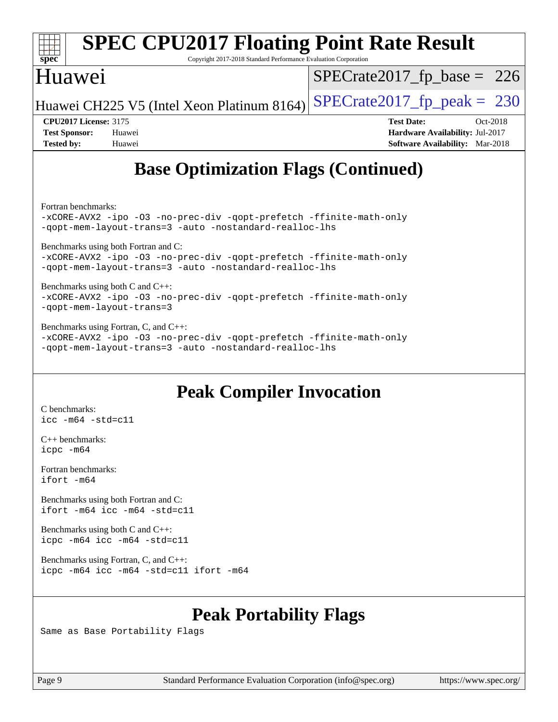|                                                                                                                                                      | <b>SPEC CPU2017 Floating Point Rate Result</b> |                                        |  |  |  |
|------------------------------------------------------------------------------------------------------------------------------------------------------|------------------------------------------------|----------------------------------------|--|--|--|
| spec <sup>®</sup><br>Copyright 2017-2018 Standard Performance Evaluation Corporation                                                                 |                                                |                                        |  |  |  |
| Huawei                                                                                                                                               |                                                | $SPECrate2017_fp\_base = 226$          |  |  |  |
|                                                                                                                                                      | Huawei CH225 V5 (Intel Xeon Platinum 8164)     | $SPECTate2017$ _fp_peak = 230          |  |  |  |
| <b>CPU2017 License: 3175</b>                                                                                                                         |                                                | <b>Test Date:</b><br>Oct-2018          |  |  |  |
| <b>Test Sponsor:</b>                                                                                                                                 | Huawei                                         | Hardware Availability: Jul-2017        |  |  |  |
| <b>Tested by:</b>                                                                                                                                    | Huawei                                         | <b>Software Availability:</b> Mar-2018 |  |  |  |
| <b>Base Optimization Flags (Continued)</b>                                                                                                           |                                                |                                        |  |  |  |
| Fortran benchmarks:<br>-xCORE-AVX2 -ipo -03 -no-prec-div -qopt-prefetch -ffinite-math-only<br>-gopt-mem-layout-trans=3 -auto -nostandard-realloc-lhs |                                                |                                        |  |  |  |
|                                                                                                                                                      | Benchmarks using both Fortran and C:           |                                        |  |  |  |
| yCODE NIVO ino O2 no prog diy gont profotob ffinito math only                                                                                        |                                                |                                        |  |  |  |

[-xCORE-AVX2](http://www.spec.org/cpu2017/results/res2018q4/cpu2017-20181011-09156.flags.html#user_CC_FCbase_f-xCORE-AVX2) [-ipo](http://www.spec.org/cpu2017/results/res2018q4/cpu2017-20181011-09156.flags.html#user_CC_FCbase_f-ipo) [-O3](http://www.spec.org/cpu2017/results/res2018q4/cpu2017-20181011-09156.flags.html#user_CC_FCbase_f-O3) [-no-prec-div](http://www.spec.org/cpu2017/results/res2018q4/cpu2017-20181011-09156.flags.html#user_CC_FCbase_f-no-prec-div) [-qopt-prefetch](http://www.spec.org/cpu2017/results/res2018q4/cpu2017-20181011-09156.flags.html#user_CC_FCbase_f-qopt-prefetch) [-ffinite-math-only](http://www.spec.org/cpu2017/results/res2018q4/cpu2017-20181011-09156.flags.html#user_CC_FCbase_f_finite_math_only_cb91587bd2077682c4b38af759c288ed7c732db004271a9512da14a4f8007909a5f1427ecbf1a0fb78ff2a814402c6114ac565ca162485bbcae155b5e4258871) [-qopt-mem-layout-trans=3](http://www.spec.org/cpu2017/results/res2018q4/cpu2017-20181011-09156.flags.html#user_CC_FCbase_f-qopt-mem-layout-trans_de80db37974c74b1f0e20d883f0b675c88c3b01e9d123adea9b28688d64333345fb62bc4a798493513fdb68f60282f9a726aa07f478b2f7113531aecce732043) [-auto](http://www.spec.org/cpu2017/results/res2018q4/cpu2017-20181011-09156.flags.html#user_CC_FCbase_f-auto) [-nostandard-realloc-lhs](http://www.spec.org/cpu2017/results/res2018q4/cpu2017-20181011-09156.flags.html#user_CC_FCbase_f_2003_std_realloc_82b4557e90729c0f113870c07e44d33d6f5a304b4f63d4c15d2d0f1fab99f5daaed73bdb9275d9ae411527f28b936061aa8b9c8f2d63842963b95c9dd6426b8a)

[Benchmarks using both C and C++](http://www.spec.org/auto/cpu2017/Docs/result-fields.html#BenchmarksusingbothCandCXX): [-xCORE-AVX2](http://www.spec.org/cpu2017/results/res2018q4/cpu2017-20181011-09156.flags.html#user_CC_CXXbase_f-xCORE-AVX2) [-ipo](http://www.spec.org/cpu2017/results/res2018q4/cpu2017-20181011-09156.flags.html#user_CC_CXXbase_f-ipo) [-O3](http://www.spec.org/cpu2017/results/res2018q4/cpu2017-20181011-09156.flags.html#user_CC_CXXbase_f-O3) [-no-prec-div](http://www.spec.org/cpu2017/results/res2018q4/cpu2017-20181011-09156.flags.html#user_CC_CXXbase_f-no-prec-div) [-qopt-prefetch](http://www.spec.org/cpu2017/results/res2018q4/cpu2017-20181011-09156.flags.html#user_CC_CXXbase_f-qopt-prefetch) [-ffinite-math-only](http://www.spec.org/cpu2017/results/res2018q4/cpu2017-20181011-09156.flags.html#user_CC_CXXbase_f_finite_math_only_cb91587bd2077682c4b38af759c288ed7c732db004271a9512da14a4f8007909a5f1427ecbf1a0fb78ff2a814402c6114ac565ca162485bbcae155b5e4258871) [-qopt-mem-layout-trans=3](http://www.spec.org/cpu2017/results/res2018q4/cpu2017-20181011-09156.flags.html#user_CC_CXXbase_f-qopt-mem-layout-trans_de80db37974c74b1f0e20d883f0b675c88c3b01e9d123adea9b28688d64333345fb62bc4a798493513fdb68f60282f9a726aa07f478b2f7113531aecce732043)

[Benchmarks using Fortran, C, and C++:](http://www.spec.org/auto/cpu2017/Docs/result-fields.html#BenchmarksusingFortranCandCXX) [-xCORE-AVX2](http://www.spec.org/cpu2017/results/res2018q4/cpu2017-20181011-09156.flags.html#user_CC_CXX_FCbase_f-xCORE-AVX2) [-ipo](http://www.spec.org/cpu2017/results/res2018q4/cpu2017-20181011-09156.flags.html#user_CC_CXX_FCbase_f-ipo) [-O3](http://www.spec.org/cpu2017/results/res2018q4/cpu2017-20181011-09156.flags.html#user_CC_CXX_FCbase_f-O3) [-no-prec-div](http://www.spec.org/cpu2017/results/res2018q4/cpu2017-20181011-09156.flags.html#user_CC_CXX_FCbase_f-no-prec-div) [-qopt-prefetch](http://www.spec.org/cpu2017/results/res2018q4/cpu2017-20181011-09156.flags.html#user_CC_CXX_FCbase_f-qopt-prefetch) [-ffinite-math-only](http://www.spec.org/cpu2017/results/res2018q4/cpu2017-20181011-09156.flags.html#user_CC_CXX_FCbase_f_finite_math_only_cb91587bd2077682c4b38af759c288ed7c732db004271a9512da14a4f8007909a5f1427ecbf1a0fb78ff2a814402c6114ac565ca162485bbcae155b5e4258871) [-qopt-mem-layout-trans=3](http://www.spec.org/cpu2017/results/res2018q4/cpu2017-20181011-09156.flags.html#user_CC_CXX_FCbase_f-qopt-mem-layout-trans_de80db37974c74b1f0e20d883f0b675c88c3b01e9d123adea9b28688d64333345fb62bc4a798493513fdb68f60282f9a726aa07f478b2f7113531aecce732043) [-auto](http://www.spec.org/cpu2017/results/res2018q4/cpu2017-20181011-09156.flags.html#user_CC_CXX_FCbase_f-auto) [-nostandard-realloc-lhs](http://www.spec.org/cpu2017/results/res2018q4/cpu2017-20181011-09156.flags.html#user_CC_CXX_FCbase_f_2003_std_realloc_82b4557e90729c0f113870c07e44d33d6f5a304b4f63d4c15d2d0f1fab99f5daaed73bdb9275d9ae411527f28b936061aa8b9c8f2d63842963b95c9dd6426b8a)

### **[Peak Compiler Invocation](http://www.spec.org/auto/cpu2017/Docs/result-fields.html#PeakCompilerInvocation)**

[C benchmarks](http://www.spec.org/auto/cpu2017/Docs/result-fields.html#Cbenchmarks): [icc -m64 -std=c11](http://www.spec.org/cpu2017/results/res2018q4/cpu2017-20181011-09156.flags.html#user_CCpeak_intel_icc_64bit_c11_33ee0cdaae7deeeab2a9725423ba97205ce30f63b9926c2519791662299b76a0318f32ddfffdc46587804de3178b4f9328c46fa7c2b0cd779d7a61945c91cd35)

[C++ benchmarks:](http://www.spec.org/auto/cpu2017/Docs/result-fields.html#CXXbenchmarks) [icpc -m64](http://www.spec.org/cpu2017/results/res2018q4/cpu2017-20181011-09156.flags.html#user_CXXpeak_intel_icpc_64bit_4ecb2543ae3f1412ef961e0650ca070fec7b7afdcd6ed48761b84423119d1bf6bdf5cad15b44d48e7256388bc77273b966e5eb805aefd121eb22e9299b2ec9d9)

[Fortran benchmarks](http://www.spec.org/auto/cpu2017/Docs/result-fields.html#Fortranbenchmarks): [ifort -m64](http://www.spec.org/cpu2017/results/res2018q4/cpu2017-20181011-09156.flags.html#user_FCpeak_intel_ifort_64bit_24f2bb282fbaeffd6157abe4f878425411749daecae9a33200eee2bee2fe76f3b89351d69a8130dd5949958ce389cf37ff59a95e7a40d588e8d3a57e0c3fd751)

[Benchmarks using both Fortran and C](http://www.spec.org/auto/cpu2017/Docs/result-fields.html#BenchmarksusingbothFortranandC): [ifort -m64](http://www.spec.org/cpu2017/results/res2018q4/cpu2017-20181011-09156.flags.html#user_CC_FCpeak_intel_ifort_64bit_24f2bb282fbaeffd6157abe4f878425411749daecae9a33200eee2bee2fe76f3b89351d69a8130dd5949958ce389cf37ff59a95e7a40d588e8d3a57e0c3fd751) [icc -m64 -std=c11](http://www.spec.org/cpu2017/results/res2018q4/cpu2017-20181011-09156.flags.html#user_CC_FCpeak_intel_icc_64bit_c11_33ee0cdaae7deeeab2a9725423ba97205ce30f63b9926c2519791662299b76a0318f32ddfffdc46587804de3178b4f9328c46fa7c2b0cd779d7a61945c91cd35)

[Benchmarks using both C and C++](http://www.spec.org/auto/cpu2017/Docs/result-fields.html#BenchmarksusingbothCandCXX): [icpc -m64](http://www.spec.org/cpu2017/results/res2018q4/cpu2017-20181011-09156.flags.html#user_CC_CXXpeak_intel_icpc_64bit_4ecb2543ae3f1412ef961e0650ca070fec7b7afdcd6ed48761b84423119d1bf6bdf5cad15b44d48e7256388bc77273b966e5eb805aefd121eb22e9299b2ec9d9) [icc -m64 -std=c11](http://www.spec.org/cpu2017/results/res2018q4/cpu2017-20181011-09156.flags.html#user_CC_CXXpeak_intel_icc_64bit_c11_33ee0cdaae7deeeab2a9725423ba97205ce30f63b9926c2519791662299b76a0318f32ddfffdc46587804de3178b4f9328c46fa7c2b0cd779d7a61945c91cd35)

[Benchmarks using Fortran, C, and C++:](http://www.spec.org/auto/cpu2017/Docs/result-fields.html#BenchmarksusingFortranCandCXX) [icpc -m64](http://www.spec.org/cpu2017/results/res2018q4/cpu2017-20181011-09156.flags.html#user_CC_CXX_FCpeak_intel_icpc_64bit_4ecb2543ae3f1412ef961e0650ca070fec7b7afdcd6ed48761b84423119d1bf6bdf5cad15b44d48e7256388bc77273b966e5eb805aefd121eb22e9299b2ec9d9) [icc -m64 -std=c11](http://www.spec.org/cpu2017/results/res2018q4/cpu2017-20181011-09156.flags.html#user_CC_CXX_FCpeak_intel_icc_64bit_c11_33ee0cdaae7deeeab2a9725423ba97205ce30f63b9926c2519791662299b76a0318f32ddfffdc46587804de3178b4f9328c46fa7c2b0cd779d7a61945c91cd35) [ifort -m64](http://www.spec.org/cpu2017/results/res2018q4/cpu2017-20181011-09156.flags.html#user_CC_CXX_FCpeak_intel_ifort_64bit_24f2bb282fbaeffd6157abe4f878425411749daecae9a33200eee2bee2fe76f3b89351d69a8130dd5949958ce389cf37ff59a95e7a40d588e8d3a57e0c3fd751)

## **[Peak Portability Flags](http://www.spec.org/auto/cpu2017/Docs/result-fields.html#PeakPortabilityFlags)**

Same as Base Portability Flags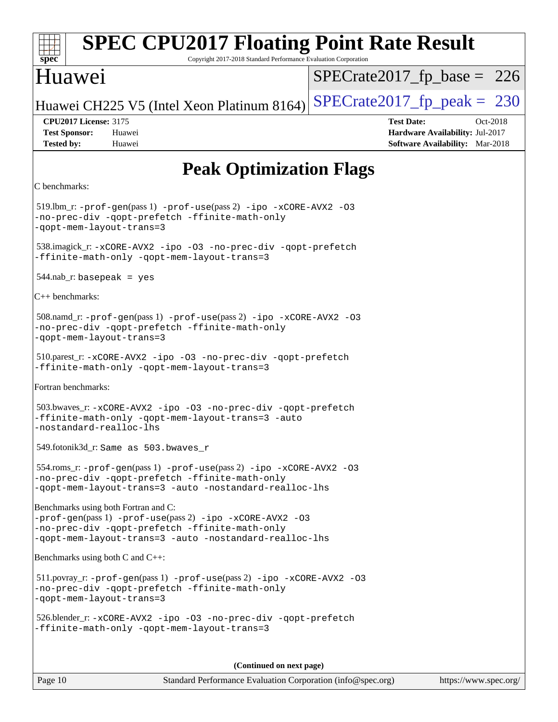| <b>SPEC CPU2017 Floating Point Rate Result</b><br>spec <sup>®</sup><br>Copyright 2017-2018 Standard Performance Evaluation Corporation                                                                       |                                                                                                            |  |  |  |
|--------------------------------------------------------------------------------------------------------------------------------------------------------------------------------------------------------------|------------------------------------------------------------------------------------------------------------|--|--|--|
| Huawei                                                                                                                                                                                                       | $SPECrate2017_fp\_base = 226$                                                                              |  |  |  |
| Huawei CH225 V5 (Intel Xeon Platinum 8164)                                                                                                                                                                   | $SPECrate2017_fp\_peak = 230$                                                                              |  |  |  |
| <b>CPU2017 License: 3175</b><br><b>Test Sponsor:</b><br>Huawei<br><b>Tested by:</b><br>Huawei                                                                                                                | <b>Test Date:</b><br>Oct-2018<br>Hardware Availability: Jul-2017<br><b>Software Availability:</b> Mar-2018 |  |  |  |
| <b>Peak Optimization Flags</b>                                                                                                                                                                               |                                                                                                            |  |  |  |
| C benchmarks:                                                                                                                                                                                                |                                                                                                            |  |  |  |
| $519$ .lbm_r: -prof-gen(pass 1) -prof-use(pass 2) -ipo -xCORE-AVX2 -03<br>-no-prec-div -qopt-prefetch -ffinite-math-only<br>-qopt-mem-layout-trans=3                                                         |                                                                                                            |  |  |  |
| 538.imagick_r: -xCORE-AVX2 -ipo -03 -no-prec-div -qopt-prefetch<br>-ffinite-math-only -qopt-mem-layout-trans=3                                                                                               |                                                                                                            |  |  |  |
| $544$ .nab_r: basepeak = yes                                                                                                                                                                                 |                                                                                                            |  |  |  |
| $ C_{++}$ benchmarks:                                                                                                                                                                                        |                                                                                                            |  |  |  |
| 508.namd_r: -prof-gen(pass 1) -prof-use(pass 2) -ipo -xCORE-AVX2 -03<br>-no-prec-div -qopt-prefetch -ffinite-math-only<br>-qopt-mem-layout-trans=3                                                           |                                                                                                            |  |  |  |
| 510.parest_r: -xCORE-AVX2 -ipo -03 -no-prec-div -qopt-prefetch<br>-ffinite-math-only -qopt-mem-layout-trans=3                                                                                                |                                                                                                            |  |  |  |
| Fortran benchmarks:                                                                                                                                                                                          |                                                                                                            |  |  |  |
| 503.bwaves_r: -xCORE-AVX2 -ipo -03 -no-prec-div -qopt-prefetch<br>-ffinite-math-only -qopt-mem-layout-trans=3 -auto<br>-nostandard-realloc-lhs                                                               |                                                                                                            |  |  |  |
| 549.fotonik3d_r: Same as 503.bwaves_r                                                                                                                                                                        |                                                                                                            |  |  |  |
| $554$ .roms_r: -prof-gen(pass 1) -prof-use(pass 2) -ipo -xCORE-AVX2 -03<br>-no-prec-div -qopt-prefetch -ffinite-math-only<br>-gopt-mem-layout-trans=3 -auto -nostandard-realloc-lhs                          |                                                                                                            |  |  |  |
| Benchmarks using both Fortran and C:<br>-prof-gen(pass 1) -prof-use(pass 2) -ipo -xCORE-AVX2 -03<br>-no-prec-div -qopt-prefetch -ffinite-math-only<br>-gopt-mem-layout-trans=3 -auto -nostandard-realloc-lhs |                                                                                                            |  |  |  |
| Benchmarks using both C and $C_{++}$ :                                                                                                                                                                       |                                                                                                            |  |  |  |
| $511.$ povray_r: -prof-gen(pass 1) -prof-use(pass 2) -ipo -xCORE-AVX2 -03<br>-no-prec-div -qopt-prefetch -ffinite-math-only<br>-qopt-mem-layout-trans=3                                                      |                                                                                                            |  |  |  |
| 526.blender_r:-xCORE-AVX2 -ipo -03 -no-prec-div -qopt-prefetch<br>-ffinite-math-only -qopt-mem-layout-trans=3                                                                                                |                                                                                                            |  |  |  |
| (Continued on next page)                                                                                                                                                                                     |                                                                                                            |  |  |  |